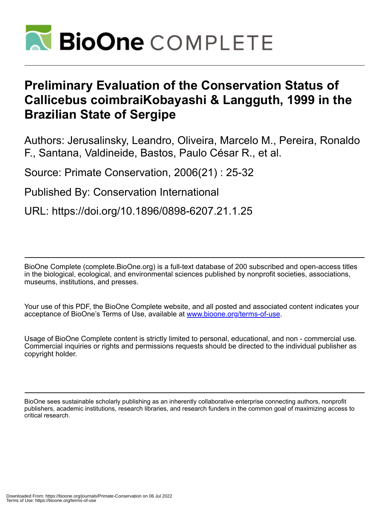

# **Preliminary Evaluation of the Conservation Status of Callicebus coimbraiKobayashi & Langguth, 1999 in the Brazilian State of Sergipe**

Authors: Jerusalinsky, Leandro, Oliveira, Marcelo M., Pereira, Ronaldo F., Santana, Valdineide, Bastos, Paulo César R., et al.

Source: Primate Conservation, 2006(21) : 25-32

Published By: Conservation International

URL: https://doi.org/10.1896/0898-6207.21.1.25

BioOne Complete (complete.BioOne.org) is a full-text database of 200 subscribed and open-access titles in the biological, ecological, and environmental sciences published by nonprofit societies, associations, museums, institutions, and presses.

Your use of this PDF, the BioOne Complete website, and all posted and associated content indicates your acceptance of BioOne's Terms of Use, available at www.bioone.org/terms-of-use.

Usage of BioOne Complete content is strictly limited to personal, educational, and non - commercial use. Commercial inquiries or rights and permissions requests should be directed to the individual publisher as copyright holder.

BioOne sees sustainable scholarly publishing as an inherently collaborative enterprise connecting authors, nonprofit publishers, academic institutions, research libraries, and research funders in the common goal of maximizing access to critical research.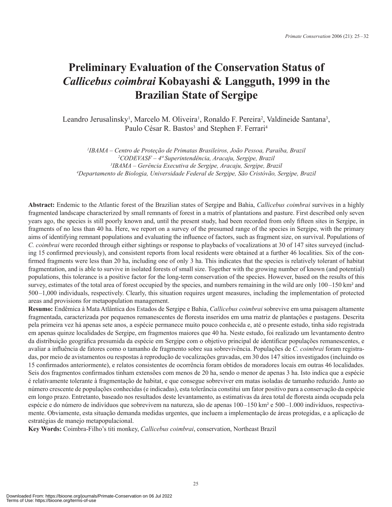## **Preliminary Evaluation of the Conservation Status of**  *Callicebus coimbrai* **Kobayashi & Langguth, 1999 in the Brazilian State of Sergipe**

Leandro Jerusalinsky<sup>1</sup>, Marcelo M. Oliveira<sup>1</sup>, Ronaldo F. Pereira<sup>2</sup>, Valdineide Santana<sup>3</sup>, Paulo César R. Bastos<sup>3</sup> and Stephen F. Ferrari<sup>4</sup>

 *IBAMA – Centro de Proteção de Primatas Brasileiros, João Pessoa, Paraíba, Brazil CODEVASF – 4ª Superintendência, Aracaju, Sergipe, Brazil IBAMA – Gerência Executiva de Sergipe, Aracaju, Sergipe, Brazil Departamento de Biologia, Universidade Federal de Sergipe, São Cristóvão, Sergipe, Brazil*

**Abstract:** Endemic to the Atlantic forest of the Brazilian states of Sergipe and Bahia, *Callicebus coimbrai* survives in a highly fragmented landscape characterized by small remnants of forest in a matrix of plantations and pasture. First described only seven years ago, the species is still poorly known and, until the present study, had been recorded from only fifteen sites in Sergipe, in fragments of no less than 40 ha. Here, we report on a survey of the presumed range of the species in Sergipe, with the primary aims of identifying remnant populations and evaluating the influence of factors, such as fragment size, on survival. Populations of *C. coimbrai* were recorded through either sightings or response to playbacks of vocalizations at 30 of 147 sites surveyed (including 15 confirmed previously), and consistent reports from local residents were obtained at a further 46 localities. Six of the confirmed fragments were less than 20 ha, including one of only 3 ha. This indicates that the species is relatively tolerant of habitat fragmentation, and is able to survive in isolated forests of small size. Together with the growing number of known (and potential) populations, this tolerance is a positive factor for the long-term conservation of the species. However, based on the results of this survey, estimates of the total area of forest occupied by the species, and numbers remaining in the wild are only 100–150 km<sup>2</sup> and 500–1,000 individuals, respectively. Clearly, this situation requires urgent measures, including the implementation of protected areas and provisions for metapopulation management.

**Resumo:** Endêmica à Mata Atlântica dos Estados de Sergipe e Bahia, *Callicebus coimbrai* sobrevive em uma paisagem altamente fragmentada, caracterizada por pequenos remanescentes de floresta inseridos em uma matriz de plantações e pastagens. Descrita pela primeira vez há apenas sete anos, a espécie permanece muito pouco conhecida e, até o presente estudo, tinha sido registrada em apenas quinze localidades de Sergipe, em fragmentos maiores que 40 ha. Neste estudo, foi realizado um levantamento dentro da distribuição geográfica presumida da espécie em Sergipe com o objetivo principal de identificar populações remanescentes, e avaliar a influência de fatores como o tamanho de fragmento sobre sua sobrevivência. Populações de *C. coimbrai* foram registradas, por meio de avistamentos ou respostas à reprodução de vocalizações gravadas, em 30 dos 147 sítios investigados (incluindo os 15 confirmados anteriormente), e relatos consistentes de ocorrência foram obtidos de moradores locais em outras 46 localidades. Seis dos fragmentos confirmados tinham extensões com menos de 20 ha, sendo o menor de apenas 3 ha. Isto indica que a espécie é relativamente tolerante à fragmentação de habitat, e que consegue sobreviver em matas isoladas de tamanho reduzido. Junto ao número crescente de populações conhecidas (e indicadas), esta tolerância constitui um fator positivo para a conservação da espécie em longo prazo. Entretanto, baseado nos resultados deste levantamento, as estimativas da área total de floresta ainda ocupada pela espécie e do número de indivíduos que sobrevivem na natureza, são de apenas 100–150 km² e 500–1.000 indivíduos, respectivamente. Obviamente, esta situação demanda medidas urgentes, que incluem a implementação de áreas protegidas, e a aplicação de estratégias de manejo metapopulacional.

**Key Words:** Coimbra-Filho's titi monkey, *Callicebus coimbrai*, conservation, Northeast Brazil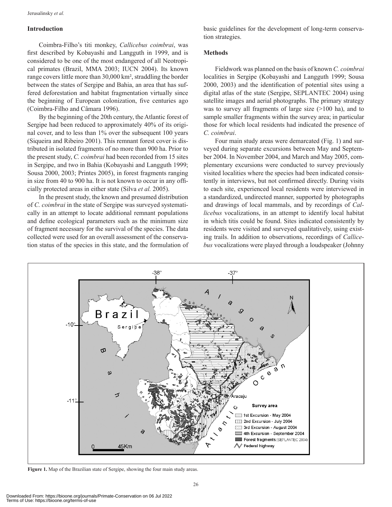#### **Introduction**

Coimbra-Filho's titi monkey, *Callicebus coimbrai*, was first described by Kobayashi and Langguth in 1999, and is considered to be one of the most endangered of all Neotropical primates (Brazil, MMA 2003; IUCN 2004). Its known range covers little more than 30,000 km², straddling the border between the states of Sergipe and Bahia, an area that has suffered deforestation and habitat fragmentation virtually since the beginning of European colonization, five centuries ago (Coimbra-Filho and Câmara 1996).

By the beginning of the 20th century, the Atlantic forest of Sergipe had been reduced to approximately 40% of its original cover, and to less than 1% over the subsequent 100 years (Siqueira and Ribeiro 2001). This remnant forest cover is distributed in isolated fragments of no more than 900 ha. Prior to the present study, *C. coimbrai* had been recorded from 15 sites in Sergipe, and two in Bahia (Kobayashi and Langguth 1999; Sousa 2000, 2003; Printes 2005), in forest fragments ranging in size from 40 to 900 ha. It is not known to occur in any officially protected areas in either state (Silva *et al.* 2005).

In the present study, the known and presumed distribution of *C. coimbrai* in the state of Sergipe was surveyed systematically in an attempt to locate additional remnant populations and define ecological parameters such as the minimum size of fragment necessary for the survival of the species. The data collected were used for an overall assessment of the conservation status of the species in this state, and the formulation of basic guidelines for the development of long-term conservation strategies.

#### **Methods**

Fieldwork was planned on the basis of known *C. coimbrai* localities in Sergipe (Kobayashi and Langguth 1999; Sousa 2000, 2003) and the identification of potential sites using a digital atlas of the state (Sergipe, SEPLANTEC 2004) using satellite images and aerial photographs. The primary strategy was to survey all fragments of large size (>100 ha), and to sample smaller fragments within the survey area; in particular those for which local residents had indicated the presence of *C. coimbrai*.

Four main study areas were demarcated (Fig. 1) and surveyed during separate excursions between May and September 2004. In November 2004, and March and May 2005, complementary excursions were conducted to survey previously visited localities where the species had been indicated consistently in interviews, but not confirmed directly. During visits to each site, experienced local residents were interviewed in a standardized, undirected manner, supported by photographs and drawings of local mammals, and by recordings of *Callicebus* vocalizations, in an attempt to identify local habitat in which titis could be found. Sites indicated consistently by residents were visited and surveyed qualitatively, using exist ing trails. In addition to observations, recordings of *Callicebus* vocalizations were played through a loudspeaker (Johnny



**Figure 1.** Map of the Brazilian state of Sergipe, showing the four main study areas.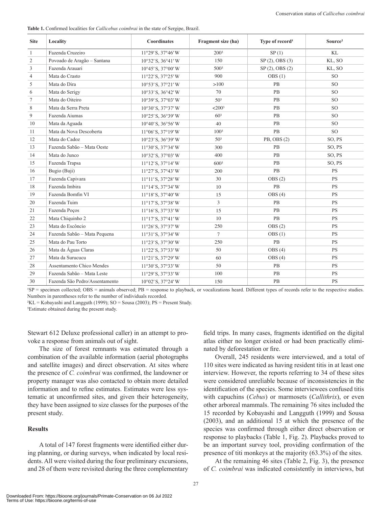**Table 1.** Confirmed localities for *Callicebus coimbrai* in the state of Sergipe, Brazil.

| <b>Site</b>    | Locality                       | <b>Coordinates</b>                   | Fragment size (ha)   | Type of record <sup>1</sup> | Source <sup>2</sup> |
|----------------|--------------------------------|--------------------------------------|----------------------|-----------------------------|---------------------|
| $\mathbf{1}$   | Fazenda Cruzeiro               | 11°29' S, 37°46' W                   | 2003                 | SP(1)                       | KL                  |
| $\overline{c}$ | Povoado de Aragão - Santana    | $10^{\circ}32'$ S, $36^{\circ}41'$ W | 150                  | SP(2), OBS(3)               | KL, SO              |
| 3              | Fazenda Arauari                | $10^{\circ}45'$ S, $37^{\circ}00'$ W | 500 <sup>3</sup>     | $SP(2)$ , OBS $(2)$         | KL, SO              |
| 4              | Mata do Crasto                 | 11°22' S, 37°25' W                   | 900                  | OBS(1)                      | SO <sub>1</sub>     |
| 5              | Mata do Dira                   | $10^{\circ}53'$ S, $37^{\circ}21'$ W | >100                 | PB                          | <sub>SO</sub>       |
| 6              | Mata do Serigy                 | $10^{\circ}33'$ S, $36^{\circ}42'$ W | 70                   | PB                          | <b>SO</b>           |
| 7              | Mata do Oiteiro                | $10^{\circ}39'$ S, $37^{\circ}03'$ W | 50 <sup>3</sup>      | <b>PB</b>                   | <sub>SO</sub>       |
| $\,$ 8 $\,$    | Mata da Serra Preta            | $10^{\circ}30'$ S, $37^{\circ}37'$ W | $<$ 200 <sup>3</sup> | PB                          | <sub>SO</sub>       |
| 9              | Fazenda Aiumas                 | $10^{\circ}25'$ S, $36^{\circ}39'$ W | 60 <sup>3</sup>      | PB                          | <b>SO</b>           |
| 10             | Mata da Aguada                 | $10^{\circ}40'$ S, $36^{\circ}56'$ W | 40                   | <b>PB</b>                   | SO <sub>1</sub>     |
| 11             | Mata da Nova Descoberta        | $11^{\circ}06'$ S, $37^{\circ}19'$ W | 100 <sup>3</sup>     | PB                          | <sub>SO</sub>       |
| 12             | Mata do Cadoz                  | 10°23' S, 36°39' W                   | 50 <sup>3</sup>      | PB, OBS (2)                 | SO, PS              |
| 13             | Fazenda Sabão - Mata Oeste     | 11°30' S, 37°34' W                   | 300                  | PB                          | SO, PS              |
| 14             | Mata do Junco                  | $10^{\circ}32'$ S, $37^{\circ}03'$ W | 400                  | PB                          | SO, PS              |
| 15             | Fazenda Trapsa                 | $11^{\circ}12'$ S, $37^{\circ}14'$ W | 6003                 | PB                          | SO, PS              |
| 16             | Bugio (Buji)                   | $11°27'$ S, $37°43'$ W               | 200                  | PB                          | <b>PS</b>           |
| 17             | Fazenda Capivara               | 11°11'S, 37°28'W                     | 30                   | OBS(2)                      | <b>PS</b>           |
| 18             | Fazenda Imbira                 | $11^{\circ}14'$ S, $37^{\circ}34'$ W | 10                   | PB                          | <b>PS</b>           |
| 19             | Fazenda Bomfin VI              | $11^{\circ}18'$ S, $37^{\circ}40'$ W | 15                   | OBS(4)                      | <b>PS</b>           |
| 20             | Fazenda Tuim                   | $11^{\circ}17'$ S, $37^{\circ}38'$ W | 3                    | PB                          | <b>PS</b>           |
| 21             | Fazenda Poços                  | 11°16' S, 37°33' W                   | 15                   | PB                          | <b>PS</b>           |
| 22             | Mata Chiquinho 2               | $11^{\circ}17'$ S, $37^{\circ}41'$ W | 10                   | PB                          | <b>PS</b>           |
| 23             | Mata do Escôncio               | $11°26'$ S, $37°37'$ W               | 250                  | OBS(2)                      | <b>PS</b>           |
| 24             | Fazenda Sabão - Mata Pequena   | $11°31'$ S, $37°34'$ W               | $\overline{7}$       | OBS(1)                      | <b>PS</b>           |
| 25             | Mata do Pau Torto              | 11°23' S, 37°30' W                   | 250                  | PB                          | <b>PS</b>           |
| 26             | Mata da Águas Claras           | $11°22'$ S, $37°33'$ W               | 50                   | OBS(4)                      | <b>PS</b>           |
| 27             | Mata da Surucucu               | $11°21'$ S, $37°29'$ W               | 60                   | OBS(4)                      | <b>PS</b>           |
| 28             | Assentamento Chico Mendes      | 11°30' S, 37°33' W                   | 50                   | PB                          | <b>PS</b>           |
| 29             | Fazenda Sabão - Mata Leste     | $11°29'$ S, $37°33'$ W               | 100                  | PB                          | <b>PS</b>           |
| 30             | Fazenda São Pedro/Assentamento | $10^{\circ}02'$ S, $37^{\circ}24'$ W | 150                  | PB                          | PS                  |

 ${}^{1}SP$  = specimen collected; OBS = animals observed;  $PB$  = response to playback, or vocalizations heard. Different types of records refer to the respective studies. Numbers in parentheses refer to the number of individuals recorded.

 ${}^{2}KL =$ Kobayashi and Langguth (1999); SO = Sousa (2003); PS = Present Study.

<sup>3</sup>Estimate obtained during the present study.

Stewart 612 Deluxe professional caller) in an attempt to provoke a response from animals out of sight.

The size of forest remnants was estimated through a combination of the available information (aerial photographs and satellite images) and direct observation. At sites where the presence of *C. coimbrai* was confirmed, the landowner or property manager was also contacted to obtain more detailed information and to refine estimates. Estimates were less systematic at unconfirmed sites, and given their heterogeneity, they have been assigned to size classes for the purposes of the present study.

#### **Results**

A total of 147 forest fragments were identified either dur ing planning, or during surveys, when indicated by local residents. All were visited during the four preliminary excursions, and 28 of them were revisited during the three complementary

field trips. In many cases, fragments identified on the digital atlas either no longer existed or had been practically eliminated by deforestation or fire.

Overall, 245 residents were interviewed, and a total of 110 sites were indicated as having resident titis in at least one interview. However, the reports referring to 34 of these sites were considered unreliable because of inconsistencies in the identification of the species. Some interviewees confused titis with capuchins (*Cebus*) or marmosets (*Callithrix*), or even other arboreal mammals. The remaining 76 sites included the 15 recorded by Kobayashi and Langguth (1999) and Sousa (2003), and an additional 15 at which the presence of the species was confirmed through either direct observation or response to playbacks (Table 1, Fig. 2). Playbacks proved to be an important survey tool, providing confirmation of the presence of titi monkeys at the majority (63.3%) of the sites.

At the remaining 46 sites (Table 2, Fig. 3), the presence of *C. coimbrai* was indicated consistently in interviews, but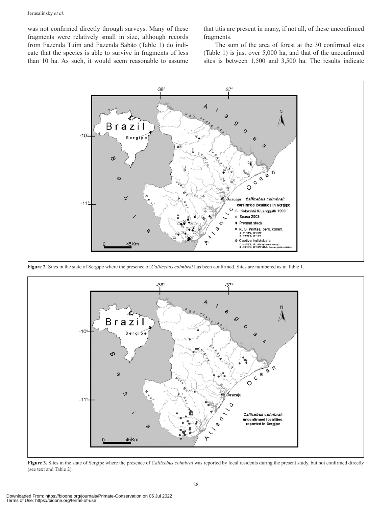was not confirmed directly through surveys. Many of these fragments were relatively small in size, although records from Fazenda Tuim and Fazenda Sabão (Table 1) do indicate that the species is able to survive in fragments of less than 10 ha. As such, it would seem reasonable to assume

that titis are present in many, if not all, of these unconfirmed fragments.

The sum of the area of forest at the 30 confirmed sites (Table 1) is just over 5,000 ha, and that of the unconfirmed sites is between 1,500 and 3,500 ha. The results indicate



**Figure 2.** Sites in the state of Sergipe where the presence of *Callicebus coimbrai* has been confirmed. Sites are numbered as in Table 1.



**Figure 3.** Sites in the state of Sergipe where the presence of *Callicebus coimbrai* was reported by local residents during the present study, but not confirmed directly (see text and Table 2).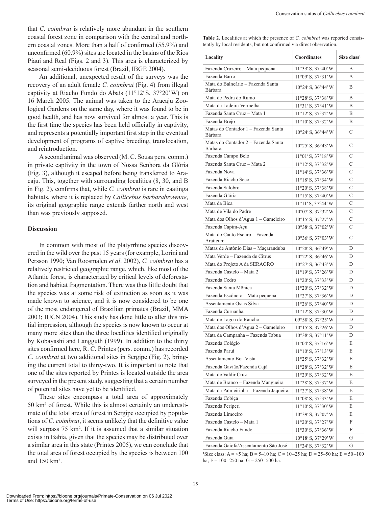that *C. coimbrai* is relatively more abundant in the southern coastal forest zone in comparison with the central and northern coastal zones. More than a half of confirmed (55.9%) and unconfirmed (60.9%) sites are located in the basins of the Rios Piauí and Real (Figs. 2 and 3). This area is characterized by seasonal semi-deciduous forest (Brazil, IBGE 2004).

An additional, unexpected result of the surveys was the recovery of an adult female *C. coimbrai* (Fig. 4) from illegal captivity at Riacho Fundo do Abaís (11°12′ S, 37°20′ W) on 16 March 2005. The animal was taken to the Aracaju Zoological Gardens on the same day, where it was found to be in good health, and has now survived for almost a year. This is the first time the species has been held officially in captivity, and represents a potentially important first step in the eventual development of programs of captive breeding, translocation, and reintroduction.

A second animal was observed (M. C. Sousa pers. comm.) in private captivity in the town of Nossa Senhora da Glória (Fig. 3), although it escaped before being transferred to Aracaju. This, together with surrounding localities (8, 30, and B in Fig. 2), confirms that, while *C. coimbrai* is rare in caatinga habitats, where it is replaced by *Callicebus barbarabrownae*, its original geographic range extends farther north and west than was previously supposed.

#### **Discussion**

In common with most of the platyrrhine species discovered in the wild over the past 15 years (for example, Lorini and Persson 1990; Van Roosmalen *et al*. 2002), *C. coimbrai* has a relatively restricted geographic range, which, like most of the Atlantic forest, is characterized by critical levels of deforestation and habitat fragmentation. There was thus little doubt that the species was at some risk of extinction as soon as it was made known to science, and it is now considered to be one of the most endangered of Brazilian primates (Brazil, MMA 2003; IUCN 2004). This study has done little to alter this initial impression, although the species is now known to occur at many more sites than the three localities identified originally by Kobayashi and Langguth (1999). In addition to the thirty sites confirmed here, R. C. Printes (pers. comm.) has recorded *C. coimbrai* at two additional sites in Sergipe (Fig. 2), bring ing the current total to thirty-two. It is important to note that one of the sites reported by Printes is located outside the area surveyed in the present study, suggesting that a certain number of potential sites have yet to be identified.

These sites encompass a total area of approximately 50 km² of forest. While this is almost certainly an underestimate of the total area of forest in Sergipe occupied by populations of *C. coimbrai*, it seems unlikely that the definitive value will surpass 75 km<sup>2</sup>. If it is assumed that a similar situation exists in Bahia, given that the species may be distributed over a similar area in this state (Printes 2005), we can conclude that the total area of forest occupied by the species is between 100 and 150 km².

**Table 2.** Localities at which the presence of *C. coimbrai* was reported consistently by local residents, but not confirmed via direct observation.

| Locality                                       | Coordinates                          | Size class <sup>1</sup> |
|------------------------------------------------|--------------------------------------|-------------------------|
| Fazenda Cruzeiro - Mata pequena                | $11^{\circ}33'$ S, $37^{\circ}40'$ W | А                       |
| Fazenda Barro                                  | 11°09' S, 37°31' W                   | A                       |
| Mata do Balneário – Fazenda Santa<br>Bárbara   | 10°24' S, 36°44' W                   | B                       |
| Mata de Pedra do Rumo                          | 11°28' S, 37°38' W                   | B                       |
| Mata da Ladeira Vermelha                       | 11°31'S, 37°41'W                     | B                       |
| Fazenda Santa Cruz - Mata 1                    | $11^{\circ}12'$ S, $37^{\circ}32'$ W | B                       |
| Fazenda Brejo                                  | 11°10'S, 37°32'W                     | B                       |
| Matas do Contador 1 - Fazenda Santa<br>Bárbara | 10°24' S, 36°44' W                   | С                       |
| Matas do Contador 2 – Fazenda Santa<br>Bárbara | $10^{\circ}25'$ S, $36^{\circ}43'$ W | C                       |
| Fazenda Campo Belo                             | $11°01'$ S, 37°18'W                  | C                       |
| Fazenda Santa Cruz - Mata 2                    | $11^{\circ}12'$ S, $37^{\circ}32'$ W | C                       |
| Fazenda Nova                                   | $11^{\circ}14'$ S, $37^{\circ}36'$ W | C                       |
| Fazenda Riacho Seco                            | $11^{\circ}18'$ S, $37^{\circ}34'$ W | C                       |
| Fazenda Salobro                                | $11^{\circ}20'$ S, $37^{\circ}38'$ W | С                       |
| Fazenda Glória                                 | 11°15'S, 37°40'W                     | С                       |
| Mata da Bica                                   | $11^{\circ}11'$ S, $37^{\circ}44'$ W | С                       |
| Mata de Vila do Padre                          | $10^{\circ}07'$ S, $37^{\circ}32'$ W | C                       |
| Mata dos Olhos d'Água 1 - Gameleiro            | $10^{\circ}15'$ S, $37^{\circ}27'$ W | C                       |
| Fazenda Capim-Açu                              | 10°38' S, 37°02' W                   | С                       |
| Mata do Canto Escuro - Fazenda<br>Araticum     | 10°36' S, 37°03' W                   | C                       |
| Matas de Antônio Dias - Maçaranduba            | 10°28' S, 36°49' W                   | D                       |
| Mata Verde - Fazenda de Citrus                 | 10°22' S, 36°46' W                   | D                       |
| Mata do Projeto A da SERAGRO                   | 10°27' S, 36°43' W                   | D                       |
| Fazenda Castelo - Mata 2                       | $11^{\circ}19'$ S, $37^{\circ}26'$ W | D                       |
| Fazenda Cedro                                  | $11°20'$ S, 37°33′W                  | D                       |
| Fazenda Santa Mônica                           | 11°20'S, 37°32'W                     | D                       |
| Fazenda Escôncio - Mata pequena                | $11°27'$ S, $37°36'$ W               | D                       |
| Assentamento Osias Silva                       | $11°26'$ S, $37°40'$ W               | D                       |
| Fazenda Curuanha                               | $11^{\circ}12'$ S, $37^{\circ}30'$ W | D                       |
| Mata de Lagoa do Rancho                        | 09°58' S, 37°25' W                   | D                       |
| Mata dos Olhos d'Água 2 – Gameleiro            | $10^{\circ}15'$ S, $37^{\circ}26'$ W | D                       |
| Mata da Campanha - Fazenda Tabua               | $10^{\circ}38'$ S, $37^{\circ}11'$ W | D                       |
| Fazenda Colégio                                | $11°04'$ S, $37°16'$ W               | Е                       |
| Fazenda Paruí                                  | 11°10'S, 37°13'W                     | E                       |
| Assentamento Boa Vista                         | 11°25'S, 37°32'W                     | E                       |
| Fazenda Gavião/Fazenda Cajá                    | 11°28′ S, 37°32′ W                   | E                       |
| Mata de Valdir Cruz                            | 11°29' S, 37°32' W                   | E                       |
| Mata de Branco - Fazenda Mangueira             | 11°28' S, 37°37' W                   | E                       |
| Mata da Palmeirinha - Fazenda Jaqueira         | $11°27'$ S, 37°38′W                  | E                       |
| Fazenda Cobiça                                 | 11°08' S, 37°33' W                   | E                       |
| Fazenda Periperi                               | 11°10'S, 37°30'W                     | E                       |
| Fazenda Limoeiro                               | 10°39' S, 37°07' W                   | E                       |
| Fazenda Castelo - Mata 1                       | 11°20'S, 37°27'W                     | F                       |
| Fazenda Riacho Fundo                           | 11°30'S, 37°36'W                     | F                       |
| Fazenda Guia                                   | $10^{\circ}18'$ S, $37^{\circ}29'$ W | G                       |
| Fazenda Gaiofa/Assentamento São José           | 11°24' S, 37°32' W                   | G                       |

Size class: A = <5 ha; B = 5–10 ha; C = 10–25 ha; D = 25–50 ha; E = 50–100 ha; F = 100–250 ha; G = 250–500 ha.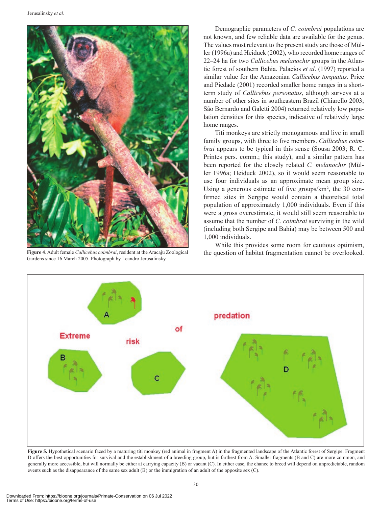

**Figure 4**. Adult female *Callicebus coimbrai*, resident at the Aracaju Zoological Gardens since 16 March 2005. Photograph by Leandro Jerusalinsky.

Demographic parameters of *C. coimbrai* populations are not known, and few reliable data are available for the genus. The values most relevant to the present study are those of Müller (1996a) and Heiduck (2002), who recorded home ranges of 22–24 ha for two *Callicebus melanochir* groups in the Atlantic forest of southern Bahia. Palacios *et al*. (1997) reported a similar value for the Amazonian *Callicebus torquatus*. Price and Piedade (2001) recorded smaller home ranges in a shortterm study of *Callicebus personatus*, although surveys at a number of other sites in southeastern Brazil (Chiarello 2003; São Bernardo and Galetti 2004) returned relatively low population densities for this species, indicative of relatively large home ranges.

Titi monkeys are strictly monogamous and live in small family groups, with three to five members. *Callicebus coimbrai* appears to be typical in this sense (Sousa 2003; R. C. Printes pers. comm.; this study), and a similar pattern has been reported for the closely related *C. melanochir* (Müller 1996a; Heiduck 2002), so it would seem reasonable to use four individuals as an approximate mean group size. Using a generous estimate of five groups/km², the 30 confirmed sites in Sergipe would contain a theoretical total population of approximately 1,000 individuals. Even if this were a gross overestimate, it would still seem reasonable to assume that the number of *C. coimbrai* surviving in the wild (including both Sergipe and Bahia) may be between 500 and 1,000 individuals.

While this provides some room for cautious optimism, the question of habitat fragmentation cannot be overlooked.



Figure 5. Hypothetical scenario faced by a maturing titi monkey (red animal in fragment A) in the fragmented landscape of the Atlantic forest of Sergipe. Fragment D offers the best opportunities for survival and the establishment of a breeding group, but is farthest from A. Smaller fragments (B and C) are more common, and generally more accessible, but will normally be either at carrying capacity (B) or vacant (C). In either case, the chance to breed will depend on unpredictable, random events such as the disappearance of the same sex adult (B) or the immigration of an adult of the opposite sex (C).

Terms of Use: https://bioone.org/terms-of-use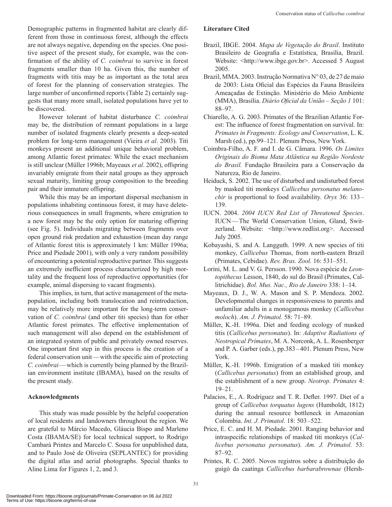Demographic patterns in fragmented habitat are clearly different from those in continuous forest, although the effects are not always negative, depending on the species. One positive aspect of the present study, for example, was the confirmation of the ability of *C. coimbrai* to survive in forest fragments smaller than 10 ha. Given this, the number of fragments with titis may be as important as the total area of forest for the planning of conservation strategies. The large number of unconfirmed reports (Table 2) certainly suggests that many more small, isolated populations have yet to be discovered.

However tolerant of habitat disturbance *C. coimbrai* may be, the distribution of remnant populations in a large number of isolated fragments clearly presents a deep-seated problem for long-term management (Vieira *et al*. 2003). Titi monkeys present an additional unique behavioral problem, among Atlantic forest primates: While the exact mechanism is still unclear (Müller 1996b; Mayeaux *et al*. 2002), offspring invariably emigrate from their natal groups as they approach sexual maturity, limiting group composition to the breeding pair and their immature offspring.

While this may be an important dispersal mechanism in populations inhabiting continuous forest, it may have deleterious consequences in small fragments, where emigration to a new forest may be the only option for maturing offspring (see Fig. 5). Individuals migrating between fragments over open ground risk predation and exhaustion (mean day range of Atlantic forest titis is approximately 1 km: Müller 1996a; Price and Piedade 2001), with only a very random possibility of encountering a potential reproductive partner. This suggests an extremely inefficient process characterized by high mortality and the frequent loss of reproductive opportunities (for example, animal dispersing to vacant fragments).

This implies, in turn, that active management of the metapopulation, including both translocation and reintroduction, may be relatively more important for the long-term conservation of *C. coimbrai* (and other titi species) than for other Atlantic forest primates. The effective implementation of such management will also depend on the establishment of an integrated system of public and privately owned reserves. One important first step in this process is the creation of a federal conservation unit—with the specific aim of protecting *C. coimbrai*—which is currently being planned by the Brazil ian environment institute (IBAMA), based on the results of the present study.

#### **Acknowledgments**

This study was made possible by the helpful cooperation of local residents and landowners throughout the region. We are grateful to Márcio Macedo, Gláucia Bispo and Marleno Costa (IBAMA/SE) for local technical support, to Rodrigo Cambará Printes and Marcelo C. Sousa for unpublished data, and to Paulo José de Oliveira (SEPLANTEC) for providing the digital atlas and aerial photographs. Special thanks to Aline Lima for Figures 1, 2, and 3.

### **Literature Cited**

- Brazil, IBGE. 2004. *Mapa de Vegetação do Brasil*. Instituto Brasileiro de Geografia e Estatística, Brasília, Brazil. Website: <http://www.ibge.gov.br>. Accessed 5 August 2005.
- Brazil, MMA. 2003. Instrução Normativa N° 03, de 27 de maio de 2003: Lista Oficial das Espécies da Fauna Brasileira Ameaçadas de Extinção*.* Ministério do Meio Ambiente (MMA), Brasília. *Diário Oficial da União – Seção 1* 101: 88–97.
- Chiarello, A. G. 2003. Primates of the Brazilian Atlantic Forest: The influence of forest fragmentation on survival. In: *Primates in Fragments: Ecology and Conservation*, L. K. Marsh (ed.), pp.99–121. Plenum Press, New York.
- Coimbra-Filho, A. F. and I. de G. Câmara. 1996. *Os Limites Originais do Bioma Mata Atlântica na Região Nordeste do Brasil.* Fundação Brasileira para a Conservação da Natureza, Rio de Janeiro.
- Heiduck, S. 2002. The use of disturbed and undisturbed forest by masked titi monkeys *Callicebus personatus melanochir* is proportional to food availability. *Oryx* 36: 133– 139.
- IUCN. 2004. *2004 IUCN Red List of Threatened Species*. IUCN—The World Conservation Union, Gland, Switzerland. Website: <http://www.redlist.org>. Accessed July 2005.
- Kobayashi, S. and A. Langguth. 1999. A new species of titi monkey, *Callicebus* Thomas, from north-eastern Brazil (Primates, Cebidae). *Rev. Bras. Zool.* 16: 531–551.
- Lorini, M. L. and V. G. Persson. 1990. Nova espécie de *Leontopithecus* Lesson, 1840, do sul do Brasil (Primates, Callitrichidae). *Bol. Mus. Nac., Rio de Janeiro* 338: 1–14.
- Mayeaux, D. J., W. A. Mason and S. P. Mendoza. 2002. Developmental changes in responsiveness to parents and unfamiliar adults in a monogamous monkey (*Callicebus moloch*). *Am. J. Primatol.* 58: 71–89.
- Müller, K.-H. 1996a. Diet and feeding ecology of masked titis (*Callicebus personatus*). In: *Adaptive Radiations of Neotropical Primates*, M. A. Norconk, A. L. Rosenberger and P. A. Garber (eds.), pp.383–401. Plenum Press, New York.
- Müller, K.-H. 1996b. Emigration of a masked titi monkey (*Callicebus personatus*) from an established group, and the establishment of a new group. *Neotrop. Primates* 4: 19–21.
- Palacios, E., A. Rodríguez and T. R. Defler. 1997. Diet of a group of *Callicebus torquatus lugens* (Humboldt, 1812) during the annual resource bottleneck in Amazonian Colombia. *Int. J. Primatol.* 18: 503–522.
- Price, E. C. and H. M. Piedade. 2001. Ranging behavior and intraspecific relationships of masked titi monkeys (*Callicebus personatus personatus*). *Am. J. Primatol.* 53: 87–92.
- Printes, R. C. 2005. Novos registros sobre a distribuição do guigó da caatinga *Callicebus barbarabrownae* (Hersh-